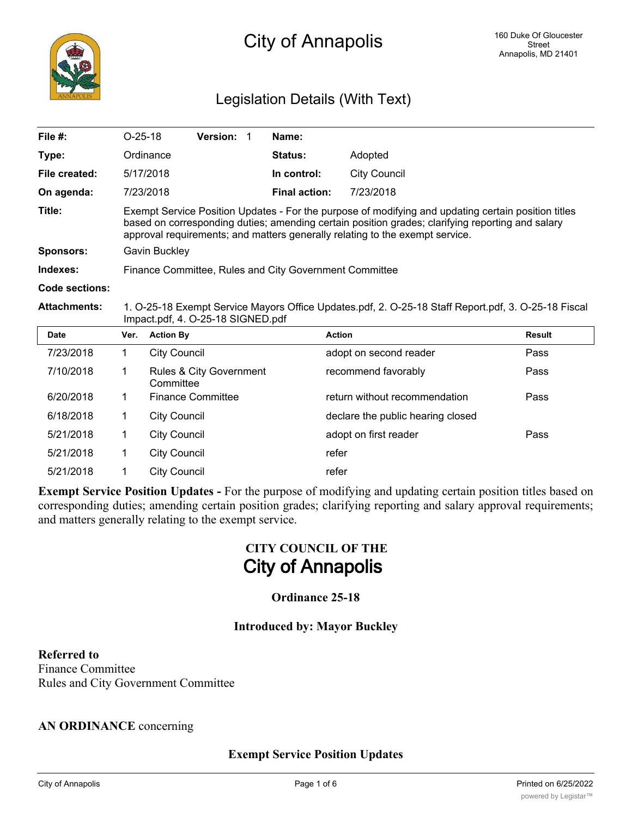# Legislation Details (With Text)

| File #:             |                                                                                                                                                                                                                                                                                         | $O-25-18$<br>Version: 1              | Name:                |                                   |               |  |
|---------------------|-----------------------------------------------------------------------------------------------------------------------------------------------------------------------------------------------------------------------------------------------------------------------------------------|--------------------------------------|----------------------|-----------------------------------|---------------|--|
| Type:               |                                                                                                                                                                                                                                                                                         | Ordinance                            | <b>Status:</b>       | Adopted                           |               |  |
| File created:       |                                                                                                                                                                                                                                                                                         | 5/17/2018                            | In control:          | <b>City Council</b>               |               |  |
| On agenda:          | 7/23/2018                                                                                                                                                                                                                                                                               |                                      | <b>Final action:</b> | 7/23/2018                         |               |  |
| Title:              | Exempt Service Position Updates - For the purpose of modifying and updating certain position titles<br>based on corresponding duties; amending certain position grades; clarifying reporting and salary<br>approval requirements; and matters generally relating to the exempt service. |                                      |                      |                                   |               |  |
| <b>Sponsors:</b>    | Gavin Buckley                                                                                                                                                                                                                                                                           |                                      |                      |                                   |               |  |
| Indexes:            | Finance Committee, Rules and City Government Committee                                                                                                                                                                                                                                  |                                      |                      |                                   |               |  |
| Code sections:      |                                                                                                                                                                                                                                                                                         |                                      |                      |                                   |               |  |
| <b>Attachments:</b> | 1. O-25-18 Exempt Service Mayors Office Updates.pdf, 2. O-25-18 Staff Report.pdf, 3. O-25-18 Fiscal<br>Impact.pdf, 4. O-25-18 SIGNED.pdf                                                                                                                                                |                                      |                      |                                   |               |  |
| <b>Date</b>         | Ver.                                                                                                                                                                                                                                                                                    | <b>Action By</b>                     |                      | <b>Action</b>                     | <b>Result</b> |  |
| 7/23/2018           | 1                                                                                                                                                                                                                                                                                       | <b>City Council</b>                  |                      | adopt on second reader            | Pass          |  |
| 7/10/2018           | 1                                                                                                                                                                                                                                                                                       | Rules & City Government<br>Committee |                      | recommend favorably               | Pass          |  |
| 6/20/2018           | 1                                                                                                                                                                                                                                                                                       | <b>Finance Committee</b>             |                      | return without recommendation     | Pass          |  |
| 6/18/2018           | 1                                                                                                                                                                                                                                                                                       | <b>City Council</b>                  |                      | declare the public hearing closed |               |  |
| 5/21/2018           | 1                                                                                                                                                                                                                                                                                       | <b>City Council</b>                  |                      | adopt on first reader             | Pass          |  |
| 5/21/2018           | 1                                                                                                                                                                                                                                                                                       | <b>City Council</b>                  |                      | refer                             |               |  |
| 5/21/2018           | 1                                                                                                                                                                                                                                                                                       | <b>City Council</b>                  |                      | refer                             |               |  |

**Exempt Service Position Updates -** For the purpose of modifying and updating certain position titles based on corresponding duties; amending certain position grades; clarifying reporting and salary approval requirements; and matters generally relating to the exempt service.

# **CITY COUNCIL OF THE City of Annapolis**

# **Ordinance 25-18**

#### **Introduced by: Mayor Buckley**

**Referred to** Finance Committee Rules and City Government Committee

#### **AN ORDINANCE** concerning

# **Exempt Service Position Updates**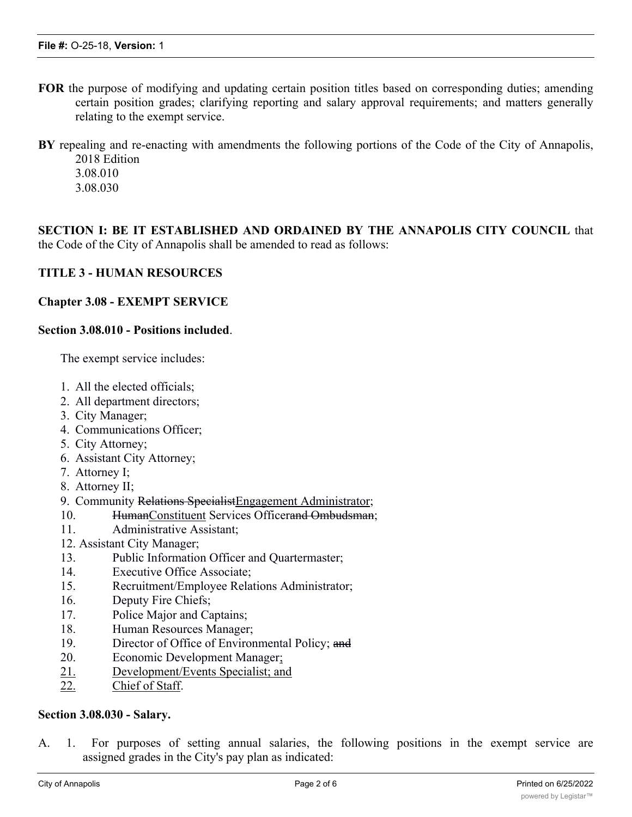- **FOR** the purpose of modifying and updating certain position titles based on corresponding duties; amending certain position grades; clarifying reporting and salary approval requirements; and matters generally relating to the exempt service.
- **BY** repealing and re-enacting with amendments the following portions of the Code of the City of Annapolis, 2018 Edition 3.08.010
	- 3.08.030
	-

**SECTION I: BE IT ESTABLISHED AND ORDAINED BY THE ANNAPOLIS CITY COUNCIL** that the Code of the City of Annapolis shall be amended to read as follows:

#### **TITLE 3 - HUMAN RESOURCES**

#### **Chapter 3.08 - EXEMPT SERVICE**

#### **Section 3.08.010 - Positions included**.

The exempt service includes:

- 1. All the elected officials;
- 2. All department directors;
- 3. City Manager;
- 4. Communications Officer;
- 5. City Attorney;
- 6. Assistant City Attorney;
- 7. Attorney I;
- 8. Attorney II;
- 9. Community Relations Specialist Engagement Administrator;
- 10. HumanConstituent Services Officerand Ombudsman;
- 11. Administrative Assistant;
- 12. Assistant City Manager;
- 13. Public Information Officer and Quartermaster;
- 14. Executive Office Associate;
- 15. Recruitment/Employee Relations Administrator;
- 16. Deputy Fire Chiefs;
- 17. Police Major and Captains;
- 18. Human Resources Manager;
- 19. Director of Office of Environmental Policy; and
- 20. Economic Development Manager;
- 21. Development/Events Specialist; and
- 22. Chief of Staff.

#### **Section 3.08.030 - Salary.**

A. 1. For purposes of setting annual salaries, the following positions in the exempt service are assigned grades in the City's pay plan as indicated: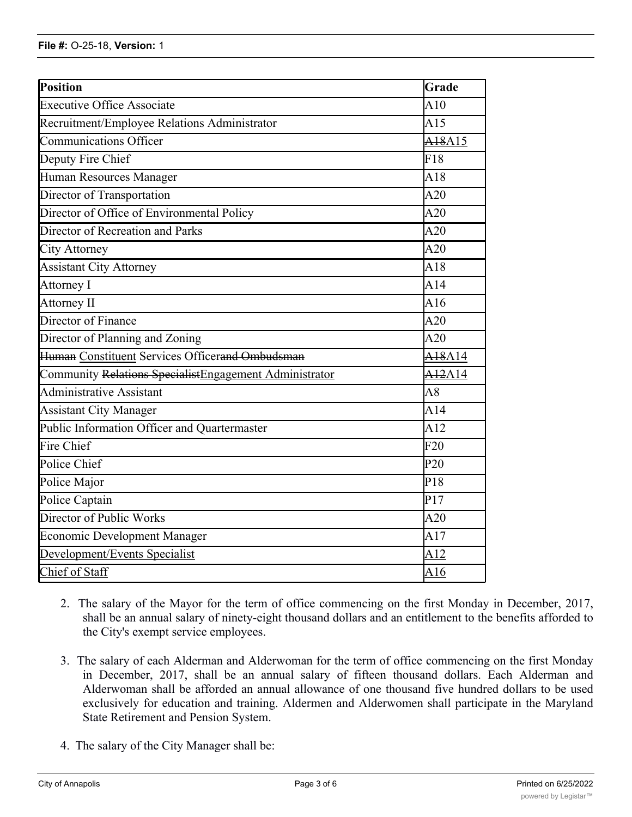| Position                                               | Grade                           |  |  |  |
|--------------------------------------------------------|---------------------------------|--|--|--|
| <b>Executive Office Associate</b>                      | A10                             |  |  |  |
| Recruitment/Employee Relations Administrator           | A15                             |  |  |  |
| <b>Communications Officer</b>                          | A <sub>18</sub> A <sub>15</sub> |  |  |  |
| Deputy Fire Chief                                      | F18                             |  |  |  |
| Human Resources Manager                                | A18                             |  |  |  |
| Director of Transportation                             | A20                             |  |  |  |
| Director of Office of Environmental Policy             | A20                             |  |  |  |
| Director of Recreation and Parks                       | A20                             |  |  |  |
| <b>City Attorney</b>                                   | A20                             |  |  |  |
| <b>Assistant City Attorney</b>                         | A18                             |  |  |  |
| Attorney I                                             | A14                             |  |  |  |
| Attorney II                                            | A16                             |  |  |  |
| Director of Finance                                    | A20                             |  |  |  |
| Director of Planning and Zoning                        | A20                             |  |  |  |
| Human Constituent Services Officerand Ombudsman        | A <sub>18</sub> A <sub>14</sub> |  |  |  |
| Community Relations SpecialistEngagement Administrator | $\overline{A12}A14$             |  |  |  |
| <b>Administrative Assistant</b>                        | A8                              |  |  |  |
| <b>Assistant City Manager</b>                          | A14                             |  |  |  |
| Public Information Officer and Quartermaster           | A12                             |  |  |  |
| Fire Chief                                             | F20                             |  |  |  |
| Police Chief                                           | P <sub>20</sub>                 |  |  |  |
| Police Major                                           | P18                             |  |  |  |
| Police Captain                                         | $\overline{P17}$                |  |  |  |
| Director of Public Works                               | A20                             |  |  |  |
| <b>Economic Development Manager</b>                    |                                 |  |  |  |
| Development/Events Specialist                          |                                 |  |  |  |
| Chief of Staff                                         |                                 |  |  |  |

- 2. The salary of the Mayor for the term of office commencing on the first Monday in December, 2017, shall be an annual salary of ninety-eight thousand dollars and an entitlement to the benefits afforded to the City's exempt service employees.
- 3. The salary of each Alderman and Alderwoman for the term of office commencing on the first Monday in December, 2017, shall be an annual salary of fifteen thousand dollars. Each Alderman and Alderwoman shall be afforded an annual allowance of one thousand five hundred dollars to be used exclusively for education and training. Aldermen and Alderwomen shall participate in the Maryland State Retirement and Pension System.
- 4. The salary of the City Manager shall be: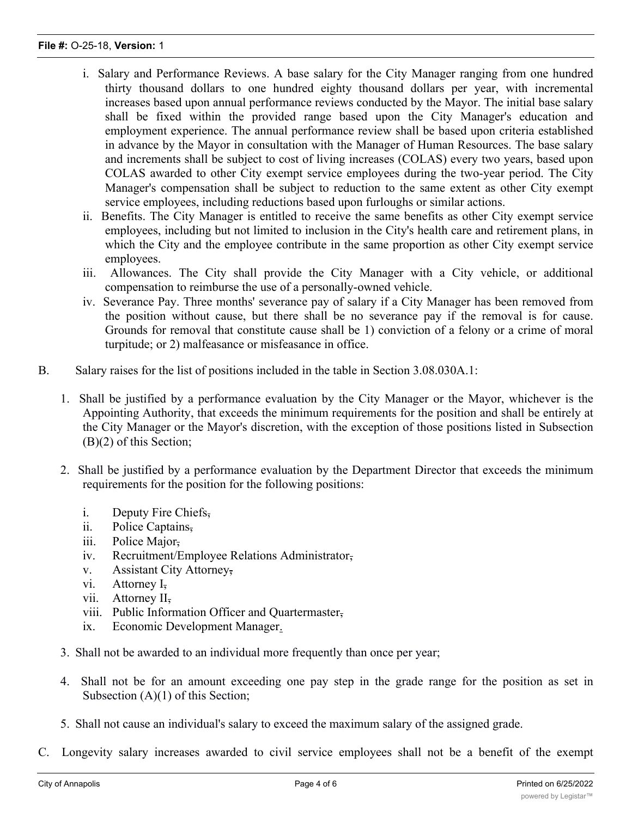#### **File #:** O-25-18, **Version:** 1

- i. Salary and Performance Reviews. A base salary for the City Manager ranging from one hundred thirty thousand dollars to one hundred eighty thousand dollars per year, with incremental increases based upon annual performance reviews conducted by the Mayor. The initial base salary shall be fixed within the provided range based upon the City Manager's education and employment experience. The annual performance review shall be based upon criteria established in advance by the Mayor in consultation with the Manager of Human Resources. The base salary and increments shall be subject to cost of living increases (COLAS) every two years, based upon COLAS awarded to other City exempt service employees during the two-year period. The City Manager's compensation shall be subject to reduction to the same extent as other City exempt service employees, including reductions based upon furloughs or similar actions.
- ii. Benefits. The City Manager is entitled to receive the same benefits as other City exempt service employees, including but not limited to inclusion in the City's health care and retirement plans, in which the City and the employee contribute in the same proportion as other City exempt service employees.
- iii. Allowances. The City shall provide the City Manager with a City vehicle, or additional compensation to reimburse the use of a personally-owned vehicle.
- iv. Severance Pay. Three months' severance pay of salary if a City Manager has been removed from the position without cause, but there shall be no severance pay if the removal is for cause. Grounds for removal that constitute cause shall be 1) conviction of a felony or a crime of moral turpitude; or 2) malfeasance or misfeasance in office.
- B. Salary raises for the list of positions included in the table in Section 3.08.030A.1:
	- 1. Shall be justified by a performance evaluation by the City Manager or the Mayor, whichever is the Appointing Authority, that exceeds the minimum requirements for the position and shall be entirely at the City Manager or the Mayor's discretion, with the exception of those positions listed in Subsection (B)(2) of this Section;
	- 2. Shall be justified by a performance evaluation by the Department Director that exceeds the minimum requirements for the position for the following positions:
		- i. Deputy Fire Chiefs,
		- ii. Police Captains,
		- iii. Police Major,
		- iv. Recruitment/Employee Relations Administrator,
		- v. Assistant City Attorney,
		- vi. Attorney I<sub>7</sub>
		- vii. Attorney II,
		- viii. Public Information Officer and Quartermaster,
		- ix. Economic Development Manager.
	- 3. Shall not be awarded to an individual more frequently than once per year;
	- 4. Shall not be for an amount exceeding one pay step in the grade range for the position as set in Subsection (A)(1) of this Section;
	- 5. Shall not cause an individual's salary to exceed the maximum salary of the assigned grade.
- C. Longevity salary increases awarded to civil service employees shall not be a benefit of the exempt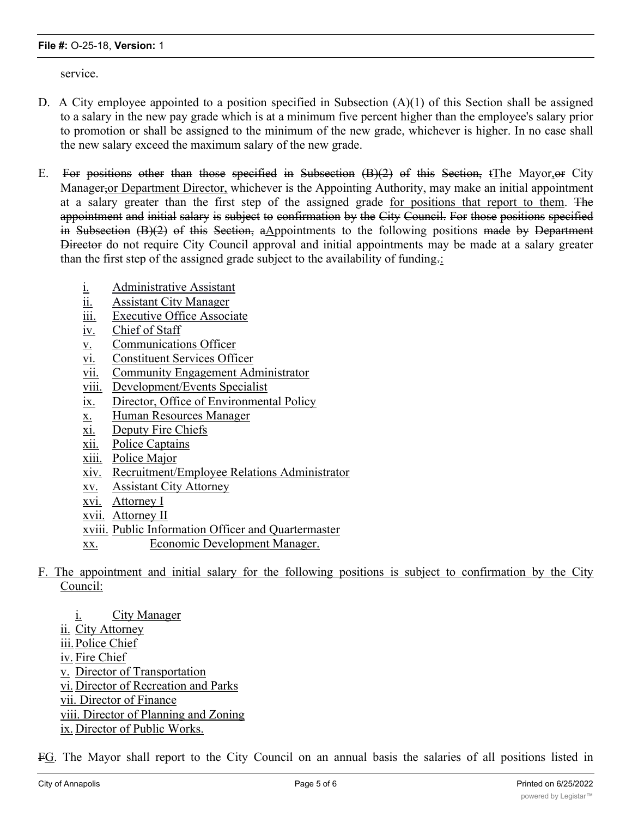service.

- D. A City employee appointed to a position specified in Subsection (A)(1) of this Section shall be assigned to a salary in the new pay grade which is at a minimum five percent higher than the employee's salary prior to promotion or shall be assigned to the minimum of the new grade, whichever is higher. In no case shall the new salary exceed the maximum salary of the new grade.
- E. For positions other than those specified in Subsection (B)(2) of this Section, tThe Mayor,or City Manager,or Department Director, whichever is the Appointing Authority, may make an initial appointment at a salary greater than the first step of the assigned grade for positions that report to them. The appointment and initial salary is subject to confirmation by the City Council. For those positions specified in Subsection (B)(2) of this Section, aAppointments to the following positions made by Department Director do not require City Council approval and initial appointments may be made at a salary greater than the first step of the assigned grade subject to the availability of funding.:
	- i. Administrative Assistant
	- ii. Assistant City Manager
	- iii. Executive Office Associate
	- iv. Chief of Staff
	- v. Communications Officer
	- vi. Constituent Services Officer
	- vii. Community Engagement Administrator
	- viii. Development/Events Specialist
	- ix. Director, Office of Environmental Policy
	- x. Human Resources Manager
	- xi. Deputy Fire Chiefs
	- xii. Police Captains
	- xiii. Police Major
	- xiv. Recruitment/Employee Relations Administrator
	- xv. Assistant City Attorney
	- xvi. Attorney I
	- xvii. Attorney II
	- xviii. Public Information Officer and Quartermaster
	- xx. Economic Development Manager.
- F. The appointment and initial salary for the following positions is subject to confirmation by the City Council:
	- i. City Manager
	- ii. City Attorney
	- iii.Police Chief
	- iv. Fire Chief
	- v. Director of Transportation
	- vi. Director of Recreation and Parks
	- vii. Director of Finance
	- viii. Director of Planning and Zoning
	- ix. Director of Public Works.

FG. The Mayor shall report to the City Council on an annual basis the salaries of all positions listed in